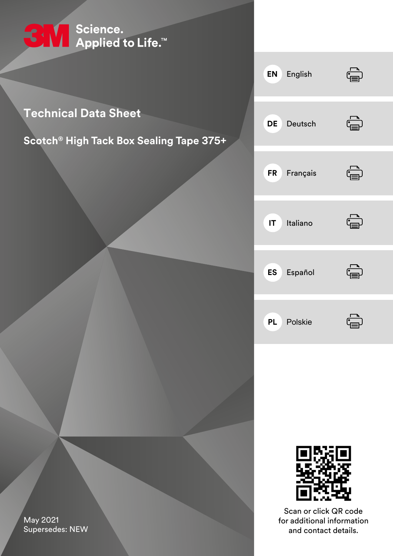

### **Technical Data Sheet**

### **Scotch® High Tack Box Sealing Tape 375+**





Scan or click QR code for additional information and contact details.

<span id="page-0-0"></span>May 2021 Supersedes: NEW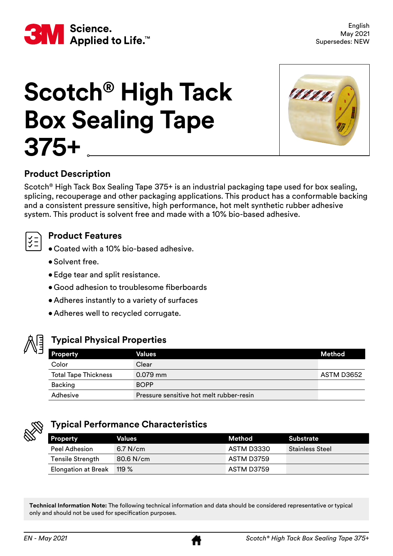<span id="page-1-0"></span>

# **Scotch® High Tack Box Sealing Tape 375+**



#### **Product Description**

Scotch® High Tack Box Sealing Tape 375+ is an industrial packaging tape used for box sealing, splicing, recouperage and other packaging applications. This product has a conformable backing and a consistent pressure sensitive, high performance, hot melt synthetic rubber adhesive system. This product is solvent free and made with a 10% bio-based adhesive.



#### **Product Features**

- Coated with a 10% bio-based adhesive.
- Solvent free.
- Edge tear and split resistance.
- Good adhesion to troublesome fiberboards
- Adheres instantly to a variety of surfaces
- Adheres well to recycled corrugate.



#### **Typical Physical Properties**

| <b>Property</b>             | Values                                   | Method     |
|-----------------------------|------------------------------------------|------------|
| Color                       | Clear                                    |            |
| <b>Total Tape Thickness</b> | $0.079$ mm                               | ASTM D3652 |
| Backing                     | <b>BOPP</b>                              |            |
| Adhesive                    | Pressure sensitive hot melt rubber-resin |            |



#### **Typical Performance Characteristics**

| <b>Property</b>            | Values      | Method     | <b>Substrate</b>       |
|----------------------------|-------------|------------|------------------------|
| Peel Adhesion              | $6.7$ N/cm  | ASTM D3330 | <b>Stainless Steel</b> |
| <b>Tensile Strength</b>    | $80.6$ N/cm | ASTM D3759 |                        |
| <b>Elongation at Break</b> | 119 %       | ASTM D3759 |                        |

**Technical Information Note:** The following technical information and data should be considered representative or typical only and should not be used for specification purposes.

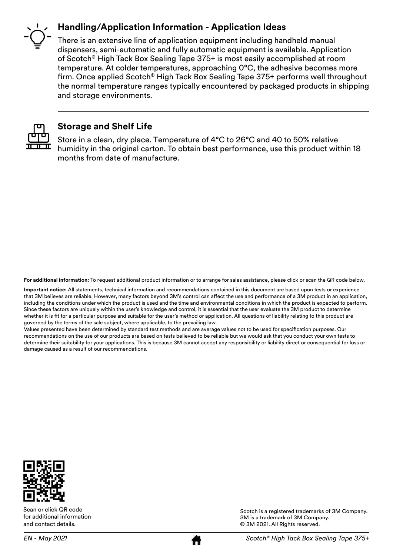#### **Handling/Application Information - Application Ideas**



There is an extensive line of application equipment including handheld manual dispensers, semi-automatic and fully automatic equipment is available. Application of Scotch® High Tack Box Sealing Tape 375+ is most easily accomplished at room temperature. At colder temperatures, approaching 0°C, the adhesive becomes more firm. Once applied Scotch® High Tack Box Sealing Tape 375+ performs well throughout the normal temperature ranges typically encountered by packaged products in shipping and storage environments.



#### **Storage and Shelf Life**

Store in a clean, dry place. Temperature of 4°C to 26°C and 40 to 50% relative humidity in the original carton. To obtain best performance, use this product within 18 months from date of manufacture.

**For additional information:** To request additional product information or to arrange for sales assistance, please click or scan the QR code below.

**Important notice:** All statements, technical information and recommendations contained in this document are based upon tests or experience that 3M believes are reliable. However, many factors beyond 3M's control can affect the use and performance of a 3M product in an application, including the conditions under which the product is used and the time and environmental conditions in which the product is expected to perform. Since these factors are uniquely within the user's knowledge and control, it is essential that the user evaluate the 3M product to determine whether it is fit for a particular purpose and suitable for the user's method or application. All questions of liability relating to this product are governed by the terms of the sale subject, where applicable, to the prevailing law.

Values presented have been determined by standard test methods and are average values not to be used for specification purposes. Our recommendations on the use of our products are based on tests believed to be reliable but we would ask that you conduct your own tests to determine their suitability for your applications. This is because 3M cannot accept any responsibility or liability direct or consequential for loss or damage caused as a result of our recommendations.



Scan or click QR code for additional information and contact details.

Scotch is a registered trademarks of 3M Company. 3M is a trademark of 3M Company. © 3M 2021. All Rights reserved.

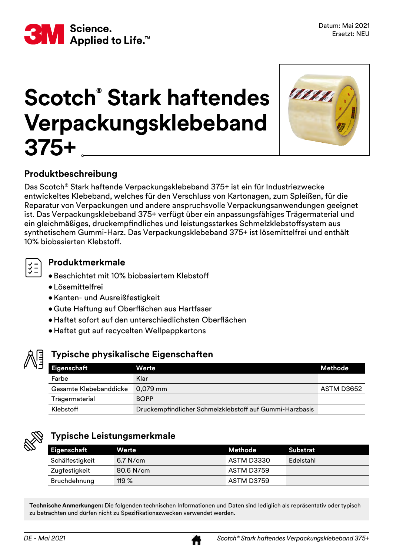

### **Scotch® Stark haftendes Verpackungsklebeband 375+**



#### **Produktbeschreibung**

Das Scotch® Stark haftende Verpackungsklebeband 375+ ist ein für Industriezwecke entwickeltes Klebeband, welches für den Verschluss von Kartonagen, zum Spleißen, für die Reparatur von Verpackungen und andere anspruchsvolle Verpackungsanwendungen geeignet ist. Das Verpackungsklebeband 375+ verfügt über ein anpassungsfähiges Trägermaterial und ein gleichmäßiges, druckempfindliches und leistungsstarkes Schmelzklebstoffsystem aus synthetischem Gummi-Harz. Das Verpackungsklebeband 375+ ist lösemittelfrei und enthält 10% biobasierten Klebstoff.

#### **Produktmerkmale**

- $\mathsf J$   $\bullet$  Beschichtet mit 10% biobasiertem Klebstoff
	- Lösemittelfrei
	- •Kanten- und Ausreißfestigkeit
	- • Gute Haftung auf Oberflächen aus Hartfaser
	- • Haftet sofort auf den unterschiedlichsten Oberflächen
	- Haftet gut auf recycelten Wellpappkartons



#### **Typische physikalische Eigenschaften**

| <b>Eigenschaft</b>     | Werte                                                   | Methode    |
|------------------------|---------------------------------------------------------|------------|
| Farbe                  | Klar                                                    |            |
| Gesamte Klebebanddicke | $0.079$ mm                                              | ASTM D3652 |
| Trägermaterial         | <b>BOPP</b>                                             |            |
| Klebstoff              | Druckempfindlicher Schmelzklebstoff auf Gummi-Harzbasis |            |



#### **Typische Leistungsmerkmale**

| Eigenschaft     | Werte       | Methode    | Substrat  |
|-----------------|-------------|------------|-----------|
| Schälfestigkeit | $6.7$ N/cm  | ASTM D3330 | Edelstahl |
| Zugfestigkeit   | $80.6$ N/cm | ASTM D3759 |           |
| Bruchdehnung    | 119 $%$     | ASTM D3759 |           |

**Technische Anmerkungen:** Die folgenden technischen Informationen und Daten sind lediglich als repräsentativ oder typisch zu betrachten und dürfen nicht zu Spezifikationszwecken verwendet werden.

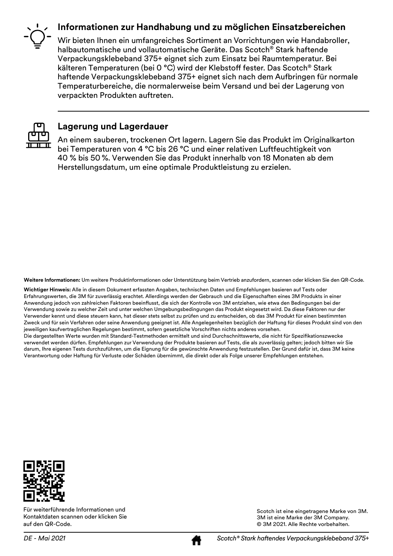#### **Informationen zur Handhabung und zu möglichen Einsatzbereichen**



Wir bieten Ihnen ein umfangreiches Sortiment an Vorrichtungen wie Handabroller, halbautomatische und vollautomatische Geräte. Das Scotch® Stark haftende Verpackungsklebeband 375+ eignet sich zum Einsatz bei Raumtemperatur. Bei kälteren Temperaturen (bei 0 °C) wird der Klebstoff fester. Das Scotch® Stark haftende Verpackungsklebeband 375+ eignet sich nach dem Aufbringen für normale Temperaturbereiche, die normalerweise beim Versand und bei der Lagerung von verpackten Produkten auftreten.



#### **Lagerung und Lagerdauer**

An einem sauberen, trockenen Ort lagern. Lagern Sie das Produkt im Originalkarton bei Temperaturen von 4 °C bis 26 °C und einer relativen Luftfeuchtigkeit von 40 % bis 50 %. Verwenden Sie das Produkt innerhalb von 18 Monaten ab dem Herstellungsdatum, um eine optimale Produktleistung zu erzielen.

**Weitere Informationen:** Um weitere Produktinformationen oder Unterstützung beim Vertrieb anzufordern, scannen oder klicken Sie den QR-Code.

**Wichtiger Hinweis:** Alle in diesem Dokument erfassten Angaben, technischen Daten und Empfehlungen basieren auf Tests oder Erfahrungswerten, die 3M für zuverlässig erachtet. Allerdings werden der Gebrauch und die Eigenschaften eines 3M Produkts in einer Anwendung jedoch von zahlreichen Faktoren beeinflusst, die sich der Kontrolle von 3M entziehen, wie etwa den Bedingungen bei der Verwendung sowie zu welcher Zeit und unter welchen Umgebungsbedingungen das Produkt eingesetzt wird. Da diese Faktoren nur der Verwender kennt und diese steuern kann, hat dieser stets selbst zu prüfen und zu entscheiden, ob das 3M Produkt für einen bestimmten Zweck und für sein Verfahren oder seine Anwendung geeignet ist. Alle Angelegenheiten bezüglich der Haftung für dieses Produkt sind von den jeweiligen kaufvertraglichen Regelungen bestimmt, sofern gesetzliche Vorschriften nichts anderes vorsehen. Die dargestellten Werte wurden mit Standard-Testmethoden ermittelt und sind Durchschnittswerte, die nicht für Spezifikationszwecke verwendet werden dürfen. Empfehlungen zur Verwendung der Produkte basieren auf Tests, die als zuverlässig gelten; jedoch bitten wir Sie darum, Ihre eigenen Tests durchzuführen, um die Eignung für die gewünschte Anwendung festzustellen. Der Grund dafür ist, dass 3M keine Verantwortung oder Haftung für Verluste oder Schäden übernimmt, die direkt oder als Folge unserer Empfehlungen entstehen.



Für weiterführende Informationen und Kontaktdaten scannen oder klicken Sie auf den QR-Code.

Scotch ist eine eingetragene Marke von 3M. 3M ist eine Marke der 3M Company. © 3M 2021. Alle Rechte vorbehalten.

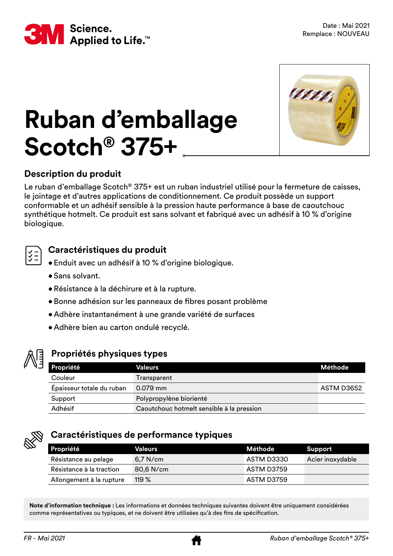



## **Ruban d'emballage Scotch® 375+**

#### **Description du produit**

Le ruban d'emballage Scotch® 375+ est un ruban industriel utilisé pour la fermeture de caisses, le jointage et d'autres applications de conditionnement. Ce produit possède un support conformable et un adhésif sensible à la pression haute performance à base de caoutchouc synthétique hotmelt. Ce produit est sans solvant et fabriqué avec un adhésif à 10 % d'origine biologique.



#### **Caractéristiques du produit**

- Enduit avec un adhésif à 10 % d'origine biologique.
- Sans solvant.
- •Résistance à la déchirure et à la rupture.
- Bonne adhésion sur les panneaux de fibres posant problème
- Adhère instantanément à une grande variété de surfaces
- Adhère bien au carton ondulé recyclé.



#### **Propriétés physiques types**

| <b>Propriété</b>          | Valeurs                                   | Méthode    |
|---------------------------|-------------------------------------------|------------|
| Couleur                   | Transparent                               |            |
| Épaisseur totale du ruban | $0.079$ mm                                | ASTM D3652 |
| Support                   | Polypropylène biorienté                   |            |
| Adhésif                   | Caoutchouc hotmelt sensible à la pression |            |



#### **Caractéristiques de performance typiques**

| <b>Propriété</b>         | <b>Valeurs</b> | Méthode    | Support          |
|--------------------------|----------------|------------|------------------|
| Résistance au pelage     | $6.7$ N/cm     | ASTM D3330 | Acier inoxydable |
| Résistance à la traction | 80,6 N/cm      | ASTM D3759 |                  |
| Allongement à la rupture | 119 $%$        | ASTM D3759 |                  |

**Note d'information technique :** Les informations et données techniques suivantes doivent être uniquement considérées comme représentatives ou typiques, et ne doivent être utilisées qu'à des fins de spécification.

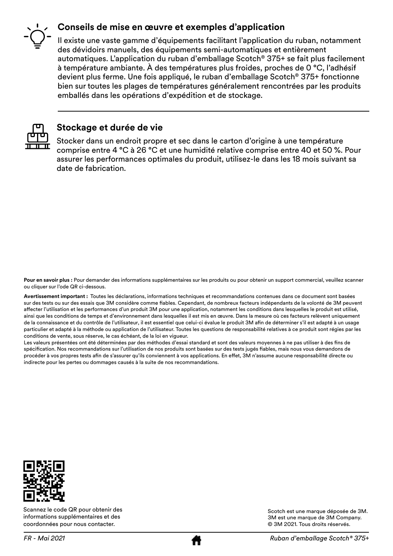#### **Conseils de mise en œuvre et exemples d'application**



Il existe une vaste gamme d'équipements facilitant l'application du ruban, notamment des dévidoirs manuels, des équipements semi-automatiques et entièrement automatiques. L'application du ruban d'emballage Scotch® 375+ se fait plus facilement à température ambiante. À des températures plus froides, proches de 0 °C, l'adhésif devient plus ferme. Une fois appliqué, le ruban d'emballage Scotch® 375+ fonctionne bien sur toutes les plages de températures généralement rencontrées par les produits emballés dans les opérations d'expédition et de stockage.



#### **Stockage et durée de vie**

Stocker dans un endroit propre et sec dans le carton d'origine à une température comprise entre 4 °C à 26 °C et une humidité relative comprise entre 40 et 50 %. Pour assurer les performances optimales du produit, utilisez-le dans les 18 mois suivant sa date de fabrication.

**Pour en savoir plus :** Pour demander des informations supplémentaires sur les produits ou pour obtenir un support commercial, veuillez scanner ou cliquer sur l'ode QR ci-dessous.

**Avertissement important :** Toutes les déclarations, informations techniques et recommandations contenues dans ce document sont basées sur des tests ou sur des essais que 3M considère comme fiables. Cependant, de nombreux facteurs indépendants de la volonté de 3M peuvent affecter l'utilisation et les performances d'un produit 3M pour une application, notamment les conditions dans lesquelles le produit est utilisé, ainsi que les conditions de temps et d'environnement dans lesquelles il est mis en œuvre. Dans la mesure où ces facteurs relèvent uniquement de la connaissance et du contrôle de l'utilisateur, il est essentiel que celui-ci évalue le produit 3M afin de déterminer s'il est adapté à un usage particulier et adapté à la méthode ou application de l'utilisateur. Toutes les questions de responsabilité relatives à ce produit sont régies par les conditions de vente, sous réserve, le cas échéant, de la loi en vigueur.

Les valeurs présentées ont été déterminées par des méthodes d'essai standard et sont des valeurs moyennes à ne pas utiliser à des fins de spécification. Nos recommandations sur l'utilisation de nos produits sont basées sur des tests jugés fiables, mais nous vous demandons de procéder à vos propres tests afin de s'assurer qu'ils conviennent à vos applications. En effet, 3M n'assume aucune responsabilité directe ou indirecte pour les pertes ou dommages causés à la suite de nos recommandations.



Scannez le code QR pour obtenir des informations supplémentaires et des coordonnées pour nous contacter.



Scotch est une marque déposée de 3M. 3M est une marque de 3M Company. © 3M 2021. Tous droits réservés.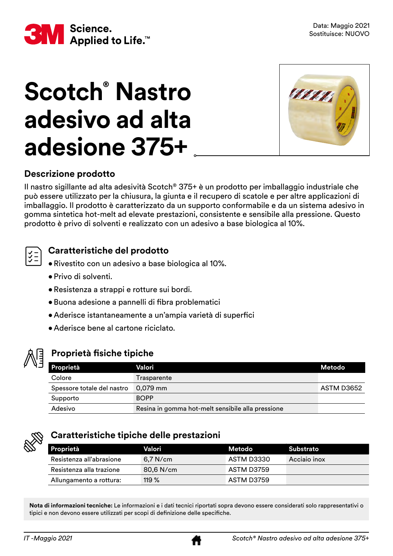

# **Scotch® Nastro adesivo ad alta adesione 375+**



#### **Descrizione prodotto**

Il nastro sigillante ad alta adesività Scotch® 375+ è un prodotto per imballaggio industriale che può essere utilizzato per la chiusura, la giunta e il recupero di scatole e per altre applicazioni di imballaggio. Il prodotto è caratterizzato da un supporto conformabile e da un sistema adesivo in gomma sintetica hot-melt ad elevate prestazioni, consistente e sensibile alla pressione. Questo prodotto è privo di solventi e realizzato con un adesivo a base biologica al 10%.

#### **Caratteristiche del prodotto**

- •Rivestito con un adesivo a base biologica al 10%.
- Privo di solventi.
- •Resistenza a strappi e rotture sui bordi.
- • Buona adesione a pannelli di fibra problematici
- • Aderisce istantaneamente a un'ampia varietà di superfici
- Aderisce bene al cartone riciclato.



#### **Proprietà fisiche tipiche**

| Proprietà                  | Valori                                            | Metodo     |
|----------------------------|---------------------------------------------------|------------|
| Colore                     | Trasparente                                       |            |
| Spessore totale del nastro | $0.079$ mm                                        | ASTM D3652 |
| Supporto                   | <b>BOPP</b>                                       |            |
| Adesivo                    | Resina in gomma hot-melt sensibile alla pressione |            |



#### **Caratteristiche tipiche delle prestazioni**

| Proprietà                | Valori      | Metodo     | Substrato    |
|--------------------------|-------------|------------|--------------|
| Resistenza all'abrasione | $6.7$ N/cm  | ASTM D3330 | Acciaio inox |
| Resistenza alla trazione | $80.6$ N/cm | ASTM D3759 |              |
| Allungamento a rottura:  | 119 $%$     | ASTM D3759 |              |

**Nota di informazioni tecniche:** Le informazioni e i dati tecnici riportati sopra devono essere considerati solo rappresentativi o tipici e non devono essere utilizzati per scopi di definizione delle specifiche.

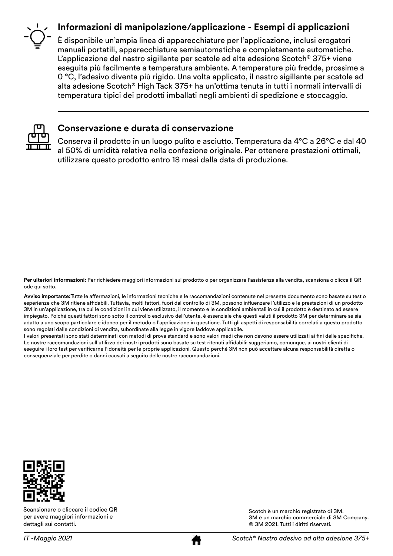#### **Informazioni di manipolazione/applicazione - Esempi di applicazioni**

È disponibile un'ampia linea di apparecchiature per l'applicazione, inclusi erogatori manuali portatili, apparecchiature semiautomatiche e completamente automatiche. L'applicazione del nastro sigillante per scatole ad alta adesione Scotch® 375+ viene eseguita più facilmente a temperatura ambiente. A temperature più fredde, prossime a 0 °C, l'adesivo diventa più rigido. Una volta applicato, il nastro sigillante per scatole ad alta adesione Scotch® High Tack 375+ ha un'ottima tenuta in tutti i normali intervalli di temperatura tipici dei prodotti imballati negli ambienti di spedizione e stoccaggio.



#### **Conservazione e durata di conservazione**

Conserva il prodotto in un luogo pulito e asciutto. Temperatura da 4°C a 26°C e dal 40 al 50% di umidità relativa nella confezione originale. Per ottenere prestazioni ottimali, utilizzare questo prodotto entro 18 mesi dalla data di produzione.

**Per ulteriori informazioni:** Per richiedere maggiori informazioni sul prodotto o per organizzare l'assistenza alla vendita, scansiona o clicca il QR ode qui sotto.

**Avviso importante:**Tutte le affermazioni, le informazioni tecniche e le raccomandazioni contenute nel presente documento sono basate su test o esperienze che 3M ritiene affidabili. Tuttavia, molti fattori, fuori dal controllo di 3M, possono influenzare l'utilizzo e le prestazioni di un prodotto 3M in un'applicazione, tra cui le condizioni in cui viene utilizzato, il momento e le condizioni ambientali in cui il prodotto è destinato ad essere impiegato. Poiché questi fattori sono sotto il controllo esclusivo dell'utente, è essenziale che questi valuti il prodotto 3M per determinare se sia adatto a uno scopo particolare e idoneo per il metodo o l'applicazione in questione. Tutti gli aspetti di responsabilità correlati a questo prodotto sono regolati dalle condizioni di vendita, subordinate alla legge in vigore laddove applicabile.

I valori presentati sono stati determinati con metodi di prova standard e sono valori medi che non devono essere utilizzati ai fini delle specifiche. Le nostre raccomandazioni sull'utilizzo dei nostri prodotti sono basate su test ritenuti affidabili; suggeriamo, comunque, ai nostri clienti di eseguire i loro test per verificarne l'idoneità per le proprie applicazioni. Questo perché 3M non può accettare alcuna responsabilità diretta o consequenziale per perdite o danni causati a seguito delle nostre raccomandazioni.



Scansionare o cliccare il codice QR per avere maggiori informazioni e dettagli sui contatti.

Scotch è un marchio registrato di 3M. 3M è un marchio commerciale di 3M Company. © 3M 2021. Tutti i diritti riservati.

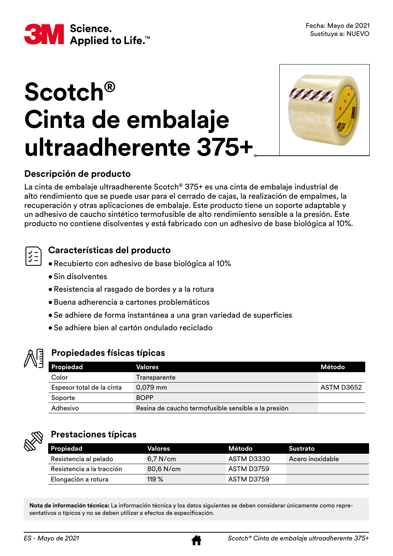

# **Scotch® Cinta de embalaje ultraadherente 375+**



#### **Descripción de producto**

La cinta de embalaje ultraadherente Scotch® 375+ es una cinta de embalaje industrial de alto rendimiento que se puede usar para el cerrado de cajas, la realización de empalmes, la recuperación y otras aplicaciones de embalaje. Este producto tiene un soporte adaptable y un adhesivo de caucho sintético termofusible de alto rendimiento sensible a la presión. Este producto no contiene disolventes y está fabricado con un adhesivo de base biológica al 10%.

#### **Características del producto**

- •Recubierto con adhesivo de base biológica al 10%
- Sin disolventes
- •Resistencia al rasgado de bordes y a la rotura
- •Buena adherencia a cartones problemáticos
- Se adhiere de forma instantánea a una gran variedad de superficies
- Se adhiere bien al cartón ondulado reciclado



#### **Propiedades físicas típicas**

| Propiedad                 | Valores                                             | Método     |
|---------------------------|-----------------------------------------------------|------------|
| Color                     | Transparente                                        |            |
| Espesor total de la cinta | $0,079$ mm                                          | ASTM D3652 |
| Soporte                   | <b>BOPP</b>                                         |            |
| Adhesivo                  | Resina de caucho termofusible sensible a la presión |            |



#### **Prestaciones típicas**

| Propiedad                 | Valores     | Método     | Sustrato         |
|---------------------------|-------------|------------|------------------|
| Resistencia al pelado     | $6.7$ N/cm  | ASTM D3330 | Acero inoxidable |
| Resistencia a la tracción | $80.6$ N/cm | ASTM D3759 |                  |
| Elongación a rotura       | 119 $%$     | ASTM D3759 |                  |

**Nota de información técnica:** La información técnica y los datos siguientes se deben considerar únicamente como representativos o típicos y no se deben utilizar a efectos de especificación.

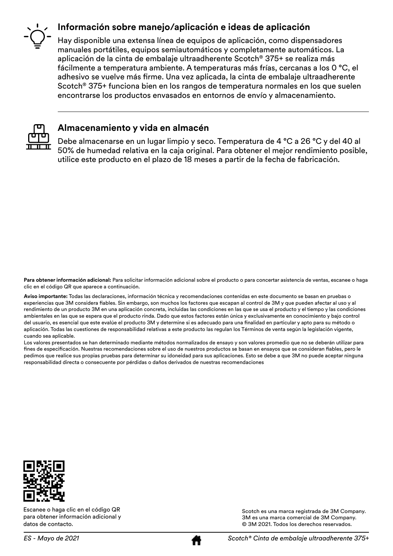#### **Información sobre manejo/aplicación e ideas de aplicación**



Hay disponible una extensa línea de equipos de aplicación, como dispensadores manuales portátiles, equipos semiautomáticos y completamente automáticos. La aplicación de la cinta de embalaje ultraadherente Scotch® 375+ se realiza más fácilmente a temperatura ambiente. A temperaturas más frías, cercanas a los 0 °C, el adhesivo se vuelve más firme. Una vez aplicada, la cinta de embalaje ultraadherente Scotch® 375+ funciona bien en los rangos de temperatura normales en los que suelen encontrarse los productos envasados en entornos de envío y almacenamiento.



#### **Almacenamiento y vida en almacén**

Debe almacenarse en un lugar limpio y seco. Temperatura de 4 °C a 26 °C y del 40 al 50% de humedad relativa en la caja original. Para obtener el mejor rendimiento posible, utilice este producto en el plazo de 18 meses a partir de la fecha de fabricación.

**Para obtener información adicional:** Para solicitar información adicional sobre el producto o para concertar asistencia de ventas, escanee o haga clic en el código QR que aparece a continuación.

**Aviso importante:** Todas las declaraciones, información técnica y recomendaciones contenidas en este documento se basan en pruebas o experiencias que 3M considera fiables. Sin embargo, son muchos los factores que escapan al control de 3M y que pueden afectar al uso y al rendimiento de un producto 3M en una aplicación concreta, incluidas las condiciones en las que se usa el producto y el tiempo y las condiciones ambientales en las que se espera que el producto rinda. Dado que estos factores están única y exclusivamente en conocimiento y bajo control del usuario, es esencial que este evalúe el producto 3M y determine si es adecuado para una finalidad en particular y apto para su método o aplicación. Todas las cuestiones de responsabilidad relativas a este producto las regulan los Términos de venta según la legislación vigente, cuando sea aplicable.

Los valores presentados se han determinado mediante métodos normalizados de ensayo y son valores promedio que no se deberán utilizar para fines de especificación. Nuestras recomendaciones sobre el uso de nuestros productos se basan en ensayos que se consideran fiables, pero le pedimos que realice sus propias pruebas para determinar su idoneidad para sus aplicaciones. Esto se debe a que 3M no puede aceptar ninguna responsabilidad directa o consecuente por pérdidas o daños derivados de nuestras recomendaciones



Escanee o haga clic en el código QR para obtener información adicional y datos de contacto.

Scotch es una marca registrada de 3M Company. 3M es una marca comercial de 3M Company. © 3M 2021. Todos los derechos reservados.

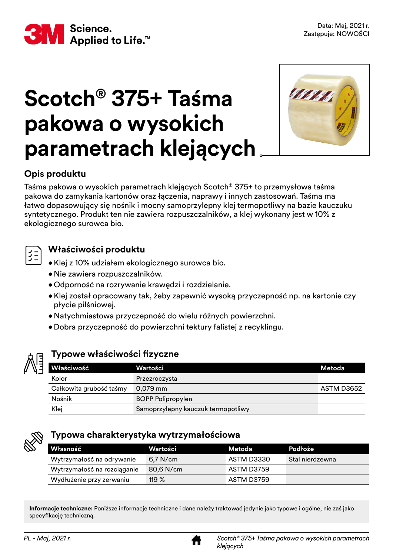

### **Scotch® 375+ Taśma pakowa o wysokich parametrach klejących**



#### **Opis produktu**

Taśma pakowa o wysokich parametrach klejących Scotch® 375+ to przemysłowa taśma pakowa do zamykania kartonów oraz łączenia, naprawy i innych zastosowań. Taśma ma łatwo dopasowujący się nośnik i mocny samoprzylepny klej termopotliwy na bazie kauczuku syntetycznego. Produkt ten nie zawiera rozpuszczalników, a klej wykonany jest w 10% z ekologicznego surowca bio.

#### **Właściwości produktu**

- • Klej z 10% udziałem ekologicznego surowca bio.
- •Nie zawiera rozpuszczalników.
- • Odporność na rozrywanie krawędzi i rozdzielanie.
- • Klej został opracowany tak, żeby zapewnić wysoką przyczepność np. na kartonie czy płycie pilśniowej.
- • Natychmiastowa przyczepność do wielu różnych powierzchni.
- • Dobra przyczepność do powierzchni tektury falistej z recyklingu.



#### **Typowe właściwości fizyczne**

| <b>Właściwość</b>       | Wartości                           | Metoda     |
|-------------------------|------------------------------------|------------|
| Kolor                   | Przezroczysta                      |            |
| Całkowita grubość taśmy | $0,079$ mm                         | ASTM D3652 |
| Nośnik                  | <b>BOPP Polipropylen</b>           |            |
| Klej                    | Samoprzylepny kauczuk termopotliwy |            |



#### **Typowa charakterystyka wytrzymałościowa**

| l Własność                  | Wartości   | Metoda     | Podłoże         |
|-----------------------------|------------|------------|-----------------|
| Wytrzymałość na odrywanie   | $6.7$ N/cm | ASTM D3330 | Stal nierdzewna |
| Wytrzymałość na rozciąganie | 80,6 N/cm  | ASTM D3759 |                 |
| Wydłużenie przy zerwaniu    | 119 $%$    | ASTM D3759 |                 |

**Informacje techniczne:** Poniższe informacje techniczne i dane należy traktować jedynie jako typowe i ogólne, nie zaś jako specyfikację techniczną.